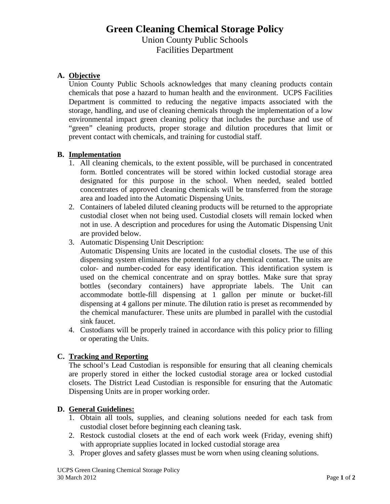# **Green Cleaning Chemical Storage Policy** Union County Public Schools Facilities Department

## **A. Objective**

Union County Public Schools acknowledges that many cleaning products contain chemicals that pose a hazard to human health and the environment. UCPS Facilities Department is committed to reducing the negative impacts associated with the storage, handling, and use of cleaning chemicals through the implementation of a low environmental impact green cleaning policy that includes the purchase and use of "green" cleaning products, proper storage and dilution procedures that limit or prevent contact with chemicals, and training for custodial staff.

#### **B. Implementation**

- 1. All cleaning chemicals, to the extent possible, will be purchased in concentrated form. Bottled concentrates will be stored within locked custodial storage area designated for this purpose in the school. When needed, sealed bottled concentrates of approved cleaning chemicals will be transferred from the storage area and loaded into the Automatic Dispensing Units.
- 2. Containers of labeled diluted cleaning products will be returned to the appropriate custodial closet when not being used. Custodial closets will remain locked when not in use. A description and procedures for using the Automatic Dispensing Unit are provided below.
- 3. Automatic Dispensing Unit Description:

Automatic Dispensing Units are located in the custodial closets. The use of this dispensing system eliminates the potential for any chemical contact. The units are color- and number-coded for easy identification. This identification system is used on the chemical concentrate and on spray bottles. Make sure that spray bottles (secondary containers) have appropriate labels. The Unit can accommodate bottle-fill dispensing at 1 gallon per minute or bucket-fill dispensing at 4 gallons per minute. The dilution ratio is preset as recommended by the chemical manufacturer. These units are plumbed in parallel with the custodial sink faucet.

4. Custodians will be properly trained in accordance with this policy prior to filling or operating the Units.

## **C. Tracking and Reporting**

The school's Lead Custodian is responsible for ensuring that all cleaning chemicals are properly stored in either the locked custodial storage area or locked custodial closets. The District Lead Custodian is responsible for ensuring that the Automatic Dispensing Units are in proper working order.

#### **D. General Guidelines:**

- 1. Obtain all tools, supplies, and cleaning solutions needed for each task from custodial closet before beginning each cleaning task.
- 2. Restock custodial closets at the end of each work week (Friday, evening shift) with appropriate supplies located in locked custodial storage area
- 3. Proper gloves and safety glasses must be worn when using cleaning solutions.